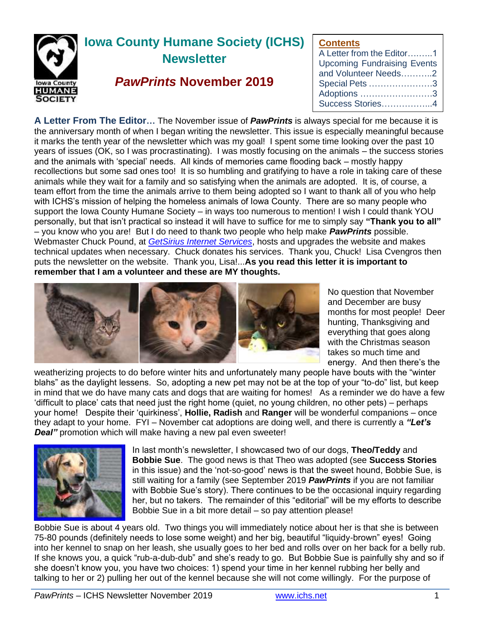

# **Iowa County Humane Society (ICHS) Newsletter**

# *PawPrints* **November 2019**

# **Contents**

| A Letter from the Editor1          |
|------------------------------------|
| <b>Upcoming Fundraising Events</b> |
| and Volunteer Needs2               |
| Special Pets 3                     |
| Adoptions 3                        |
| Success Stories4                   |

**A Letter From The Editor…** The November issue of *PawPrints* is always special for me because it is the anniversary month of when I began writing the newsletter. This issue is especially meaningful because it marks the tenth year of the newsletter which was my goal! I spent some time looking over the past 10 years of issues (OK, so I was procrastinating). I was mostly focusing on the animals – the success stories and the animals with 'special' needs. All kinds of memories came flooding back – mostly happy recollections but some sad ones too! It is so humbling and gratifying to have a role in taking care of these animals while they wait for a family and so satisfying when the animals are adopted. It is, of course, a team effort from the time the animals arrive to them being adopted so I want to thank all of you who help with ICHS's mission of helping the homeless animals of Iowa County. There are so many people who support the Iowa County Humane Society – in ways too numerous to mention! I wish I could thank YOU personally, but that isn't practical so instead it will have to suffice for me to simply say **"Thank you to all"** – you know who you are! But I do need to thank two people who help make *PawPrints* possible. Webmaster Chuck Pound, at *[GetSirius Internet Services](https://www.getsiriusweb.net/)*, hosts and upgrades the website and makes technical updates when necessary. Chuck donates his services. Thank you, Chuck! Lisa Cvengros then puts the newsletter on the website. Thank you, Lisa!...**As you read this letter it is important to remember that I am a volunteer and these are MY thoughts.**



No question that November and December are busy months for most people! Deer hunting, Thanksgiving and everything that goes along with the Christmas season takes so much time and energy. And then there's the

weatherizing projects to do before winter hits and unfortunately many people have bouts with the "winter blahs" as the daylight lessens. So, adopting a new pet may not be at the top of your "to-do" list, but keep in mind that we do have many cats and dogs that are waiting for homes! As a reminder we do have a few 'difficult to place' cats that need just the right home (quiet, no young children, no other pets) – perhaps your home! Despite their 'quirkiness', **Hollie, Radish** and **Ranger** will be wonderful companions – once they adapt to your home. FYI – November cat adoptions are doing well, and there is currently a *"Let's Deal"* promotion which will make having a new pal even sweeter!



In last month's newsletter, I showcased two of our dogs, **Theo/Teddy** and **Bobbie Sue**. The good news is that Theo was adopted (see **Success Stories** in this issue) and the 'not-so-good' news is that the sweet hound, Bobbie Sue, is still waiting for a family (see September 2019 *PawPrints* if you are not familiar with Bobbie Sue's story). There continues to be the occasional inquiry regarding her, but no takers. The remainder of this "editorial" will be my efforts to describe Bobbie Sue in a bit more detail – so pay attention please!

Bobbie Sue is about 4 years old. Two things you will immediately notice about her is that she is between 75-80 pounds (definitely needs to lose some weight) and her big, beautiful "liquidy-brown" eyes! Going into her kennel to snap on her leash, she usually goes to her bed and rolls over on her back for a belly rub. If she knows you, a quick "rub-a-dub-dub" and she's ready to go. But Bobbie Sue is painfully shy and so if she doesn't know you, you have two choices: 1) spend your time in her kennel rubbing her belly and talking to her or 2) pulling her out of the kennel because she will not come willingly. For the purpose of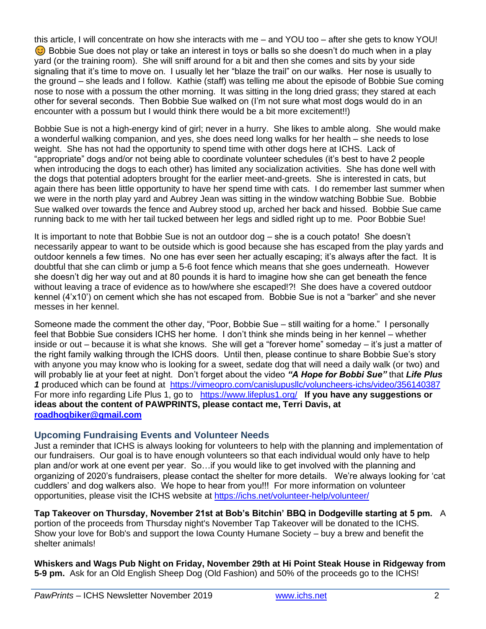this article, I will concentrate on how she interacts with me – and YOU too – after she gets to know YOU!  $\odot$  Bobbie Sue does not play or take an interest in toys or balls so she doesn't do much when in a play yard (or the training room). She will sniff around for a bit and then she comes and sits by your side signaling that it's time to move on. I usually let her "blaze the trail" on our walks. Her nose is usually to the ground – she leads and I follow. Kathie (staff) was telling me about the episode of Bobbie Sue coming nose to nose with a possum the other morning. It was sitting in the long dried grass; they stared at each other for several seconds. Then Bobbie Sue walked on (I'm not sure what most dogs would do in an encounter with a possum but I would think there would be a bit more excitement!!)

Bobbie Sue is not a high-energy kind of girl; never in a hurry. She likes to amble along. She would make a wonderful walking companion, and yes, she does need long walks for her health – she needs to lose weight. She has not had the opportunity to spend time with other dogs here at ICHS. Lack of "appropriate" dogs and/or not being able to coordinate volunteer schedules (it's best to have 2 people when introducing the dogs to each other) has limited any socialization activities. She has done well with the dogs that potential adopters brought for the earlier meet-and-greets. She is interested in cats, but again there has been little opportunity to have her spend time with cats. I do remember last summer when we were in the north play yard and Aubrey Jean was sitting in the window watching Bobbie Sue. Bobbie Sue walked over towards the fence and Aubrey stood up, arched her back and hissed. Bobbie Sue came running back to me with her tail tucked between her legs and sidled right up to me. Poor Bobbie Sue!

It is important to note that Bobbie Sue is not an outdoor dog – she is a couch potato! She doesn't necessarily appear to want to be outside which is good because she has escaped from the play yards and outdoor kennels a few times. No one has ever seen her actually escaping; it's always after the fact. It is doubtful that she can climb or jump a 5-6 foot fence which means that she goes underneath. However she doesn't dig her way out and at 80 pounds it is hard to imagine how she can get beneath the fence without leaving a trace of evidence as to how/where she escaped!?! She does have a covered outdoor kennel (4'x10') on cement which she has not escaped from. Bobbie Sue is not a "barker" and she never messes in her kennel.

Someone made the comment the other day, "Poor, Bobbie Sue – still waiting for a home." I personally feel that Bobbie Sue considers ICHS her home. I don't think she minds being in her kennel – whether inside or out – because it is what she knows. She will get a "forever home" someday – it's just a matter of the right family walking through the ICHS doors. Until then, please continue to share Bobbie Sue's story with anyone you may know who is looking for a sweet, sedate dog that will need a daily walk (or two) and will probably lie at your feet at night. Don't forget about the video *"A Hope for Bobbi Sue"* that *Life Plus 1* produced which can be found at <https://vimeopro.com/canislupusllc/voluncheers-ichs/video/356140387> For more info regarding Life Plus 1, go to <https://www.lifeplus1.org/>**If you have any suggestions or ideas about the content of PAWPRINTS, please contact me, Terri Davis, at [roadhogbiker@gmail.com](mailto:roadhogbiker@gmail.com)**

# **Upcoming Fundraising Events and Volunteer Needs**

Just a reminder that ICHS is always looking for volunteers to help with the planning and implementation of our fundraisers. Our goal is to have enough volunteers so that each individual would only have to help plan and/or work at one event per year. So…if you would like to get involved with the planning and organizing of 2020's fundraisers, please contact the shelter for more details. We're always looking for 'cat cuddlers' and dog walkers also. We hope to hear from you!!! For more information on volunteer opportunities, please visit the ICHS website at<https://ichs.net/volunteer-help/volunteer/>

**Tap Takeover on Thursday, November 21st at Bob's Bitchin' BBQ in Dodgeville starting at 5 pm.** A portion of the proceeds from Thursday night's November Tap Takeover will be donated to the ICHS. Show your love for Bob's and support the Iowa County Humane Society – buy a brew and benefit the shelter animals!

**Whiskers and Wags Pub Night on Friday, November 29th at Hi Point Steak House in Ridgeway from 5-9 pm.** Ask for an Old English Sheep Dog (Old Fashion) and 50% of the proceeds go to the ICHS!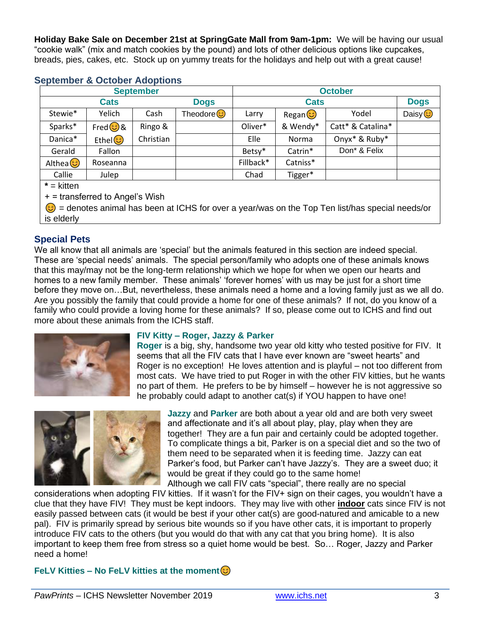**Holiday Bake Sale on December 21st at SpringGate Mall from 9am-1pm:** We will be having our usual "cookie walk" (mix and match cookies by the pound) and lots of other delicious options like cupcakes, breads, pies, cakes, etc. Stock up on yummy treats for the holidays and help out with a great cause!

| <b>September</b>     |                    |           |                         | <b>October</b> |          |                                       |                    |
|----------------------|--------------------|-----------|-------------------------|----------------|----------|---------------------------------------|--------------------|
| <b>Cats</b>          |                    |           | <b>Dogs</b>             | <b>Cats</b>    |          |                                       | <b>Dogs</b>        |
| Stewie*              | Yelich             | Cash      | Theodore <mark>☉</mark> | Larry          | Regan 3  | Yodel                                 | Daisy <sup>®</sup> |
| Sparks*              | Fred $\odot$ &     | Ringo &   |                         | Oliver*        | & Wendy* | Catt* & Catalina*                     |                    |
| Danica*              | Ethel <sup>3</sup> | Christian |                         | Elle           | Norma    | Onyx <sup>*</sup> & Ruby <sup>*</sup> |                    |
| Gerald               | Fallon             |           |                         | Betsy*         | Catrin*  | Don* & Felix                          |                    |
| Althea               | Roseanna           |           |                         | Fillback*      | Catniss* |                                       |                    |
| Callie               | Julep              |           |                         | Chad           | Tigger*  |                                       |                    |
| $*  \mathsf{Lifton}$ |                    |           |                         |                |          |                                       |                    |

#### **September & October Adoptions**

**\*** = kitten

+ = transferred to Angel's Wish

 $\bigodot$  = denotes animal has been at ICHS for over a year/was on the Top Ten list/has special needs/or is elderly

# **Special Pets**

We all know that all animals are 'special' but the animals featured in this section are indeed special. These are 'special needs' animals. The special person/family who adopts one of these animals knows that this may/may not be the long-term relationship which we hope for when we open our hearts and homes to a new family member. These animals' 'forever homes' with us may be just for a short time before they move on…But, nevertheless, these animals need a home and a loving family just as we all do. Are you possibly the family that could provide a home for one of these animals? If not, do you know of a family who could provide a loving home for these animals? If so, please come out to ICHS and find out more about these animals from the ICHS staff.



#### **FIV Kitty – Roger, Jazzy & Parker**

**Roger** is a big, shy, handsome two year old kitty who tested positive for FIV. It seems that all the FIV cats that I have ever known are "sweet hearts" and Roger is no exception! He loves attention and is playful – not too different from most cats. We have tried to put Roger in with the other FIV kitties, but he wants no part of them. He prefers to be by himself – however he is not aggressive so he probably could adapt to another cat(s) if YOU happen to have one!



**Jazzy** and **Parker** are both about a year old and are both very sweet and affectionate and it's all about play, play, play when they are together! They are a fun pair and certainly could be adopted together. To complicate things a bit, Parker is on a special diet and so the two of them need to be separated when it is feeding time. Jazzy can eat Parker's food, but Parker can't have Jazzy's. They are a sweet duo; it would be great if they could go to the same home! Although we call FIV cats "special", there really are no special

considerations when adopting FIV kitties. If it wasn't for the FIV+ sign on their cages, you wouldn't have a clue that they have FIV! They must be kept indoors. They may live with other **indoor** cats since FIV is not easily passed between cats (it would be best if your other cat(s) are good-natured and amicable to a new pal). FIV is primarily spread by serious bite wounds so if you have other cats, it is important to properly introduce FIV cats to the others (but you would do that with any cat that you bring home). It is also important to keep them free from stress so a quiet home would be best. So… Roger, Jazzy and Parker need a home!

**FeLV Kitties – No FeLV kitties at the moment**